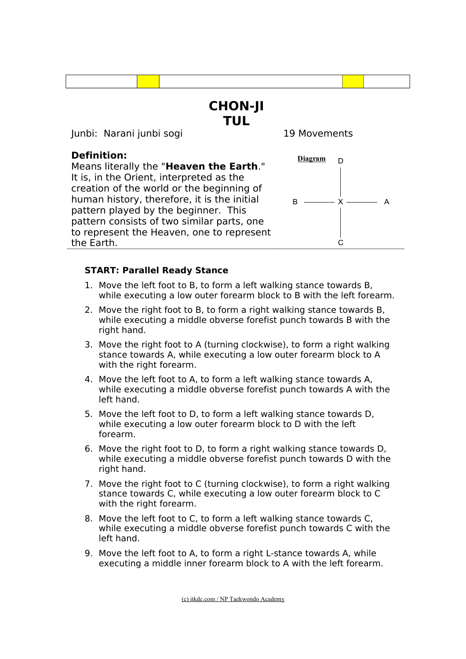

### **START: Parallel Ready Stance**

- 1. Move the left foot to B, to form a left walking stance towards B, while executing a low outer forearm block to B with the left forearm.
- 2. Move the right foot to B, to form a right walking stance towards B, while executing a middle obverse forefist punch towards B with the right hand.
- 3. Move the right foot to A (turning clockwise), to form a right walking stance towards A, while executing a low outer forearm block to A with the right forearm.
- 4. Move the left foot to A, to form a left walking stance towards A, while executing a middle obverse forefist punch towards A with the left hand.
- 5. Move the left foot to D, to form a left walking stance towards D, while executing a low outer forearm block to D with the left forearm.
- 6. Move the right foot to D, to form a right walking stance towards D, while executing a middle obverse forefist punch towards D with the right hand.
- 7. Move the right foot to C (turning clockwise), to form a right walking stance towards C, while executing a low outer forearm block to C with the right forearm.
- 8. Move the left foot to C, to form a left walking stance towards C, while executing a middle obverse forefist punch towards C with the left hand.
- 9. Move the left foot to A, to form a right L-stance towards A, while executing a middle inner forearm block to A with the left forearm.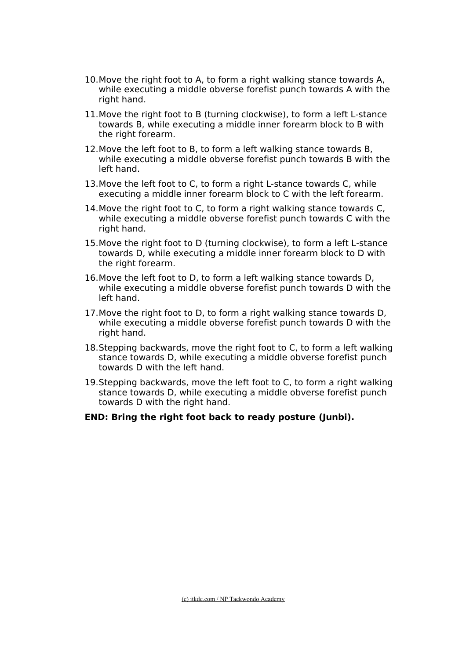- 10.Move the right foot to A, to form a right walking stance towards A, while executing a middle obverse forefist punch towards A with the right hand.
- 11.Move the right foot to B (turning clockwise), to form a left L-stance towards B, while executing a middle inner forearm block to B with the right forearm.
- 12.Move the left foot to B, to form a left walking stance towards B, while executing a middle obverse forefist punch towards B with the left hand.
- 13.Move the left foot to C, to form a right L-stance towards C, while executing a middle inner forearm block to C with the left forearm.
- 14.Move the right foot to C, to form a right walking stance towards C, while executing a middle obverse forefist punch towards C with the right hand.
- 15.Move the right foot to D (turning clockwise), to form a left L-stance towards D, while executing a middle inner forearm block to D with the right forearm.
- 16.Move the left foot to D, to form a left walking stance towards D, while executing a middle obverse forefist punch towards D with the left hand.
- 17.Move the right foot to D, to form a right walking stance towards D, while executing a middle obverse forefist punch towards D with the right hand.
- 18.Stepping backwards, move the right foot to C, to form a left walking stance towards D, while executing a middle obverse forefist punch towards D with the left hand.
- 19.Stepping backwards, move the left foot to C, to form a right walking stance towards D, while executing a middle obverse forefist punch towards D with the right hand.
- **END: Bring the right foot back to ready posture (Junbi).**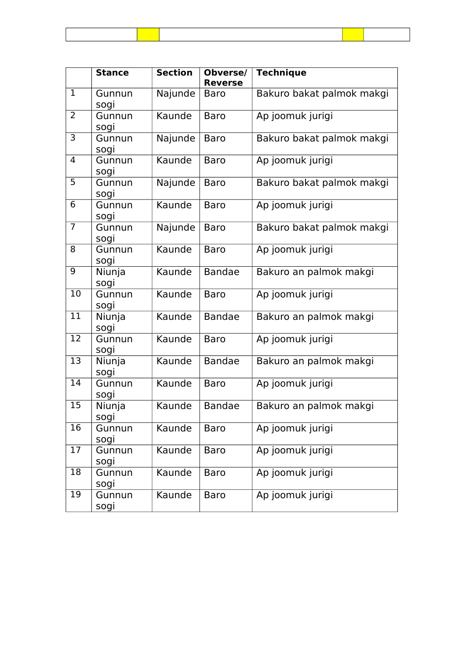|                | <b>Stance</b>  | <b>Section</b> | Obverse/<br><b>Reverse</b> | <b>Technique</b>          |
|----------------|----------------|----------------|----------------------------|---------------------------|
| $\mathbf{1}$   | Gunnun<br>sogi | Najunde        | <b>Baro</b>                | Bakuro bakat palmok makgi |
| 2              | Gunnun<br>sogi | Kaunde         | <b>Baro</b>                | Ap joomuk jurigi          |
| 3              | Gunnun<br>sogi | Najunde        | <b>Baro</b>                | Bakuro bakat palmok makgi |
| 4              | Gunnun<br>sogi | Kaunde         | <b>Baro</b>                | Ap joomuk jurigi          |
| $\overline{5}$ | Gunnun<br>sogi | Najunde        | <b>Baro</b>                | Bakuro bakat palmok makgi |
| 6              | Gunnun<br>sogi | Kaunde         | <b>Baro</b>                | Ap joomuk jurigi          |
| $\overline{7}$ | Gunnun<br>sogi | Najunde        | <b>Baro</b>                | Bakuro bakat palmok makgi |
| 8              | Gunnun<br>sogi | Kaunde         | <b>Baro</b>                | Ap joomuk jurigi          |
| 9              | Niunja<br>sogi | Kaunde         | Bandae                     | Bakuro an palmok makgi    |
| 10             | Gunnun<br>sogi | Kaunde         | <b>Baro</b>                | Ap joomuk jurigi          |
| 11             | Niunja<br>sogi | Kaunde         | <b>Bandae</b>              | Bakuro an palmok makgi    |
| 12             | Gunnun<br>sogi | Kaunde         | <b>Baro</b>                | Ap joomuk jurigi          |
| 13             | Niunja<br>sogi | Kaunde         | <b>Bandae</b>              | Bakuro an palmok makgi    |
| 14             | Gunnun<br>sogi | Kaunde         | <b>Baro</b>                | Ap joomuk jurigi          |
| 15             | Niunja<br>sogi | Kaunde         | <b>Bandae</b>              | Bakuro an palmok makgi    |
| 16             | Gunnun<br>sogi | Kaunde         | <b>Baro</b>                | Ap joomuk jurigi          |
| 17             | Gunnun<br>sogi | Kaunde         | <b>Baro</b>                | Ap joomuk jurigi          |
| 18             | Gunnun<br>sogi | Kaunde         | <b>Baro</b>                | Ap joomuk jurigi          |
| 19             | Gunnun<br>sogi | Kaunde         | <b>Baro</b>                | Ap joomuk jurigi          |